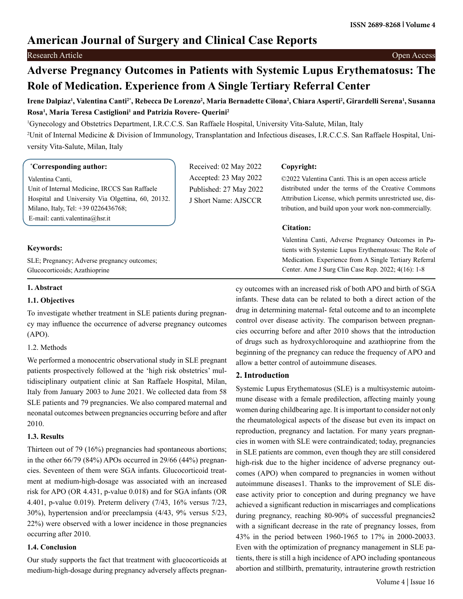## **American Journal of Surgery and Clinical Case Reports**

## Research Article Open Access

# **Adverse Pregnancy Outcomes in Patients with Systemic Lupus Erythematosus: The Role of Medication. Experience from A Single Tertiary Referral Center**

## Irene Dalpiaz<sup>ı</sup>, Valentina Canti<sup>2</sup>\*, Rebecca De Lorenzo<sup>2</sup>, Maria Bernadette Cilona<sup>2</sup>, Chiara Asperti<sup>2</sup>, Girardelli Serena<sup>ı</sup>, Susanna **Rosa1 , Maria Teresa Castiglioni1 and Patrizia Rovere- Querini2**

1 Gynecology and Obstetrics Department, I.R.C.C.S. San Raffaele Hospital, University Vita-Salute, Milan, Italy

2 Unit of Internal Medicine & Division of Immunology, Transplantation and Infectious diseases, I.R.C.C.S. San Raffaele Hospital, University Vita-Salute, Milan, Italy

## **\* Corresponding author:**

Valentina Canti, Unit of Internal Medicine, IRCCS San Raffaele Hospital and University Via Olgettina, 60, 20132. Milano, Italy, Tel: +39 0226436768; E-mail: [canti.valentina@hsr.it](mailto:canti.valentina@hsr.it)

Received: 02 May 2022 Accepted: 23 May 2022 Published: 27 May 2022 J Short Name: AJSCCR

## **Copyright:**

©2022 Valentina Canti. This is an open access article distributed under the terms of the Creative Commons Attribution License, which permits unrestricted use, distribution, and build upon your work non-commercially.

## **Citation:**

Valentina Canti, Adverse Pregnancy Outcomes in Patients with Systemic Lupus Erythematosus: The Role of Medication. Experience from A Single Tertiary Referral Center. Ame J Surg Clin Case Rep. 2022; 4(16): 1-8

## **Keywords:**

SLE; Pregnancy; Adverse pregnancy outcomes; Glucocorticoids; Azathioprine

## **1. Abstract**

## **1.1. Objectives**

To investigate whether treatment in SLE patients during pregnancy may influence the occurrence of adverse pregnancy outcomes (APO).

## 1.2. Methods

We performed a monocentric observational study in SLE pregnant patients prospectively followed at the 'high risk obstetrics' multidisciplinary outpatient clinic at San Raffaele Hospital, Milan, Italy from January 2003 to June 2021. We collected data from 58 SLE patients and 79 pregnancies. We also compared maternal and neonatal outcomes between pregnancies occurring before and after 2010.

## **1.3. Results**

Thirteen out of 79 (16%) pregnancies had spontaneous abortions; in the other 66/79 (84%) APOs occurred in 29/66 (44%) pregnancies. Seventeen of them were SGA infants. Glucocorticoid treatment at medium-high-dosage was associated with an increased risk for APO (OR 4.431, p-value 0.018) and for SGA infants (OR 4.401, p-value 0.019). Preterm delivery (7/43, 16% versus 7/23, 30%), hypertension and/or preeclampsia (4/43, 9% versus 5/23, 22%) were observed with a lower incidence in those pregnancies occurring after 2010.

## **1.4. Conclusion**

Our study supports the fact that treatment with glucocorticoids at medium-high-dosage during pregnancy adversely affects pregnancy outcomes with an increased risk of both APO and birth of SGA infants. These data can be related to both a direct action of the drug in determining maternal- fetal outcome and to an incomplete control over disease activity. The comparison between pregnancies occurring before and after 2010 shows that the introduction of drugs such as hydroxychloroquine and azathioprine from the beginning of the pregnancy can reduce the frequency of APO and allow a better control of autoimmune diseases.

## **2. Introduction**

Systemic Lupus Erythematosus (SLE) is a multisystemic autoimmune disease with a female predilection, affecting mainly young women during childbearing age. It is important to consider not only the rheumatological aspects of the disease but even its impact on reproduction, pregnancy and lactation. For many years pregnancies in women with SLE were contraindicated; today, pregnancies in SLE patients are common, even though they are still considered high-risk due to the higher incidence of adverse pregnancy outcomes (APO) when compared to pregnancies in women without autoimmune diseases1. Thanks to the improvement of SLE disease activity prior to conception and during pregnancy we have achieved a significant reduction in miscarriages and complications during pregnancy, reaching 80-90% of successful pregnancies2 with a significant decrease in the rate of pregnancy losses, from 43% in the period between 1960-1965 to 17% in 2000-20033. Even with the optimization of pregnancy management in SLE patients, there is still a high incidence of APO including spontaneous abortion and stillbirth, prematurity, intrauterine growth restriction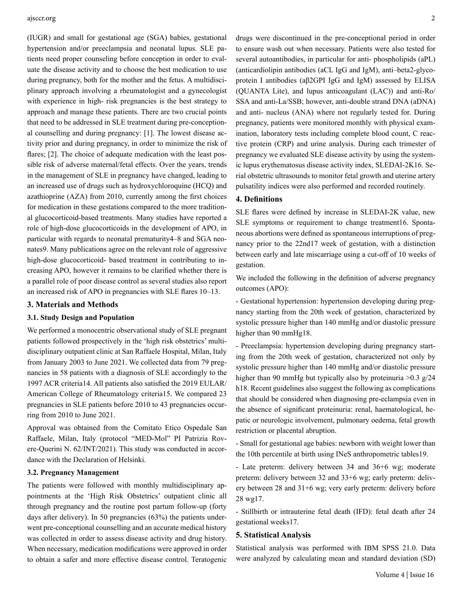(IUGR) and small for gestational age (SGA) babies, gestational hypertension and/or preeclampsia and neonatal lupus. SLE patients need proper counseling before conception in order to evaluate the disease activity and to choose the best medication to use during pregnancy, both for the mother and the fetus. A multidisciplinary approach involving a rheumatologist and a gynecologist with experience in high- risk pregnancies is the best strategy to approach and manage these patients. There are two crucial points that need to be addressed in SLE treatment during pre-conceptional counselling and during pregnancy: [1]. The lowest disease activity prior and during pregnancy, in order to minimize the risk of flares; [2]. The choice of adequate medication with the least possible risk of adverse maternal/fetal effects. Over the years, trends in the management of SLE in pregnancy have changed, leading to an increased use of drugs such as hydroxychloroquine (HCQ) and azathioprine (AZA) from 2010, currently among the first choices for medication in these gestations compared to the more traditional glucocorticoid-based treatments. Many studies have reported a role of high-dose glucocorticoids in the development of APO, in particular with regards to neonatal prematurity4–8 and SGA neonates9. Many publications agree on the relevant role of aggressive high-dose glucocorticoid- based treatment in contributing to increasing APO, however it remains to be clarified whether there is a parallel role of poor disease control as several studies also report an increased risk of APO in pregnancies with SLE flares 10–13.

#### **3. Materials and Methods**

#### **3.1. Study Design and Population**

We performed a monocentric observational study of SLE pregnant patients followed prospectively in the 'high risk obstetrics' multidisciplinary outpatient clinic at San Raffaele Hospital, Milan, Italy from January 2003 to June 2021. We collected data from 79 pregnancies in 58 patients with a diagnosis of SLE accordingly to the 1997 ACR criteria14. All patients also satisfied the 2019 EULAR/ American College of Rheumatology criteria15. We compared 23 pregnancies in SLE patients before 2010 to 43 pregnancies occurring from 2010 to June 2021.

Approval was obtained from the Comitato Etico Ospedale San Raffaele, Milan, Italy (protocol "MED-Mol" PI Patrizia Rovere-Querini N. 62/INT/2021). This study was conducted in accordance with the Declaration of Helsinki.

#### **3.2. Pregnancy Management**

The patients were followed with monthly multidisciplinary appointments at the 'High Risk Obstetrics' outpatient clinic all through pregnancy and the routine post partum follow-up (forty days after delivery). In 50 pregnancies (63%) the patients underwent pre-conceptional counselling and an accurate medical history was collected in order to assess disease activity and drug history. When necessary, medication modifications were approved in order to obtain a safer and more effective disease control. Teratogenic

drugs were discontinued in the pre-conceptional period in order to ensure wash out when necessary. Patients were also tested for several autoantibodies, in particular for anti- phospholipids (aPL) (anticardiolipin antibodies (aCL IgG and IgM), anti–beta2-glycoprotein I antibodies (aβ2GPI IgG and IgM) assessed by ELISA (QUANTA Lite), and lupus anticoagulant (LAC)) and anti-Ro/ SSA and anti-La/SSB; however, anti-double strand DNA (aDNA) and anti- nucleus (ANA) where not regularly tested for. During pregnancy, patients were monitored monthly with physical examination, laboratory tests including complete blood count, C reactive protein (CRP) and urine analysis. During each trimester of pregnancy we evaluated SLE disease activity by using the systemic lupus erythematosus disease activity index, SLEDAI-2K16. Serial obstetric ultrasounds to monitor fetal growth and uterine artery pulsatility indices were also performed and recorded routinely.

## **4. Definitions**

SLE flares were defined by increase in SLEDAI-2K value, new SLE symptoms or requirement to change treatment16. Spontaneous abortions were defined as spontaneous interruptions of pregnancy prior to the 22nd17 week of gestation, with a distinction between early and late miscarriage using a cut-off of 10 weeks of gestation.

We included the following in the definition of adverse pregnancy outcomes (APO):

- Gestational hypertension: hypertension developing during pregnancy starting from the 20th week of gestation, characterized by systolic pressure higher than 140 mmHg and/or diastolic pressure higher than 90 mmHg18.

- Preeclampsia: hypertension developing during pregnancy starting from the 20th week of gestation, characterized not only by systolic pressure higher than 140 mmHg and/or diastolic pressure higher than 90 mmHg but typically also by proteinuria >0.3 g/24 h18. Recent guidelines also suggest the following as complications that should be considered when diagnosing pre-eclampsia even in the absence of significant proteinuria: renal, haematological, hepatic or neurologic involvement, pulmonary oedema, fetal growth restriction or placental abruption.

- Small for gestational age babies: newborn with weight lower than the 10th percentile at birth using INeS anthropometric tables19.

- Late preterm: delivery between 34 and 36+6 wg; moderate preterm: delivery between 32 and 33+6 wg; early preterm: delivery between 28 and 31+6 wg; very early preterm: delivery before 28 wg17.

- Stillbirth or intrauterine fetal death (IFD): fetal death after 24 gestational weeks17.

#### **5. Statistical Analysis**

Statistical analysis was performed with IBM SPSS 21.0. Data were analyzed by calculating mean and standard deviation (SD)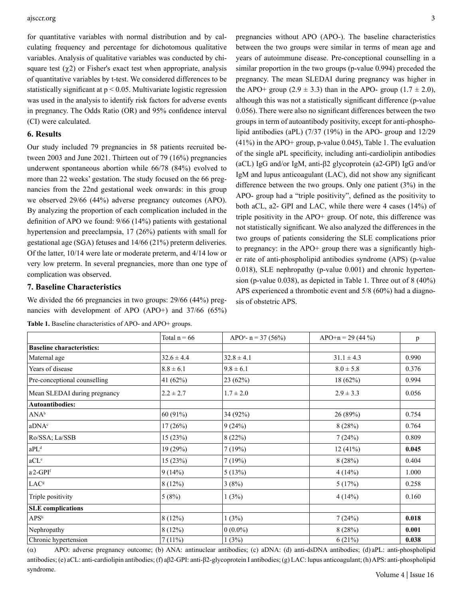for quantitative variables with normal distribution and by calculating frequency and percentage for dichotomous qualitative variables. Analysis of qualitative variables was conducted by chisquare test  $(\gamma 2)$  or Fisher's exact test when appropriate, analysis of quantitative variables by t-test. We considered differences to be statistically significant at  $p < 0.05$ . Multivariate logistic regression was used in the analysis to identify risk factors for adverse events in pregnancy. The Odds Ratio (OR) and 95% confidence interval (CI) were calculated.

## **6. Results**

Our study included 79 pregnancies in 58 patients recruited between 2003 and June 2021. Thirteen out of 79 (16%) pregnancies underwent spontaneous abortion while 66/78 (84%) evolved to more than 22 weeks' gestation. The study focused on the 66 pregnancies from the 22nd gestational week onwards: in this group we observed 29/66 (44%) adverse pregnancy outcomes (APO). By analyzing the proportion of each complication included in the definition of APO we found: 9/66 (14%) patients with gestational hypertension and preeclampsia, 17 (26%) patients with small for gestational age (SGA) fetuses and 14/66 (21%) preterm deliveries. Of the latter, 10/14 were late or moderate preterm, and 4/14 low or very low preterm. In several pregnancies, more than one type of complication was observed.

## **7. Baseline Characteristics**

We divided the 66 pregnancies in two groups:  $29/66$  (44%) pregnancies with development of APO (APO+) and 37/66 (65%)

**Table 1.** Baseline characteristics of APO- and APO+ groups.

pregnancies without APO (APO-). The baseline characteristics between the two groups were similar in terms of mean age and years of autoimmune disease. Pre-conceptional counselling in a similar proportion in the two groups (p-value 0.994) preceded the pregnancy. The mean SLEDAI during pregnancy was higher in the APO+ group (2.9  $\pm$  3.3) than in the APO- group (1.7  $\pm$  2.0), although this was not a statistically significant difference (p-value 0.056). There were also no significant differences between the two groups in term of autoantibody positivity, except for anti-phospholipid antibodies (aPL) (7/37 (19%) in the APO- group and 12/29 (41%) in the APO+ group, p-value 0.045), Table 1. The evaluation of the single aPL specificity, including anti-cardiolipin antibodies (aCL) IgG and/or IgM, anti-β2 glycoprotein (a2-GPI) IgG and/or IgM and lupus anticoagulant (LAC), did not show any significant difference between the two groups. Only one patient (3%) in the APO- group had a "triple positivity", defined as the positivity to both aCL, a2- GPI and LAC, while there were 4 cases (14%) of triple positivity in the APO+ group. Of note, this difference was not statistically significant. We also analyzed the differences in the two groups of patients considering the SLE complications prior to pregnancy: in the APO+ group there was a significantly higher rate of anti-phospholipid antibodies syndrome (APS) (p-value 0.018), SLE nephropathy (p-value 0.001) and chronic hypertension (p-value 0.038), as depicted in Table 1. Three out of 8 (40%) APS experienced a thrombotic event and 5/8 (60%) had a diagnosis of obstetric APS.

|                                  | Total $n = 66$ | APO <sup>a</sup> - n = 37 (56%) | $APO+n = 29(44\%)$ | p     |
|----------------------------------|----------------|---------------------------------|--------------------|-------|
| <b>Baseline characteristics:</b> |                |                                 |                    |       |
| Maternal age                     | $32.6 \pm 4.4$ | $32.8 \pm 4.1$                  | $31.1 \pm 4.3$     | 0.990 |
| Years of disease                 | $8.8 \pm 6.1$  | $9.8 \pm 6.1$                   | $8.0 \pm 5.8$      | 0.376 |
| Pre-conceptional counselling     | 41 (62%)       | 23 (62%)                        | 18 (62%)           | 0.994 |
| Mean SLEDAI during pregnancy     | $2.2 \pm 2.7$  | $1.7 \pm 2.0$                   | $2.9 \pm 3.3$      | 0.056 |
| <b>Autoantibodies:</b>           |                |                                 |                    |       |
| ANA <sup>b</sup>                 | 60 (91%)       | 34 (92%)                        | 26(89%)            | 0.754 |
| aDNA <sup>c</sup>                | 17(26%)        | 9(24%)                          | 8(28%)             | 0.764 |
| Ro/SSA; La/SSB                   | 15(23%)        | 8(22%)                          | 7(24%)             | 0.809 |
| aPL <sup>d</sup>                 | 19(29%)        | 7(19%)                          | 12(41%)            | 0.045 |
| aCL <sup>e</sup>                 | 15(23%)        | 7(19%)                          | 8(28%)             | 0.404 |
| a <sup>2</sup> -GPI <sup>f</sup> | 9(14%)         | 5(13%)                          | 4(14%)             | 1.000 |
| LAC <sup>g</sup>                 | 8(12%)         | 3(8%)                           | 5(17%)             | 0.258 |
| Triple positivity                | 5(8%)          | 1(3%)                           | 4(14%)             | 0.160 |
| <b>SLE</b> complications         |                |                                 |                    |       |
| APS <sup>h</sup>                 | 8(12%)         | 1(3%)                           | 7(24%)             | 0.018 |
| Nephropathy                      | 8(12%)         | $0(0.0\%)$                      | 8(28%)             | 0.001 |
| Chronic hypertension             | 7(11%)         | (3%)                            | 6(21%)             | 0.038 |

(a) APO: adverse pregnancy outcome; (b) ANA: antinuclear antibodies; (c) aDNA: (d) anti-dsDNA antibodies; (d) aPL: anti-phospholipid antibodies; (e) aCL: anti-cardiolipin antibodies; (f) aβ2-GPI: anti-β2-glycoprotein I antibodies; (g) LAC: lupus anticoagulant; (h) APS: anti-phospholipid syndrome.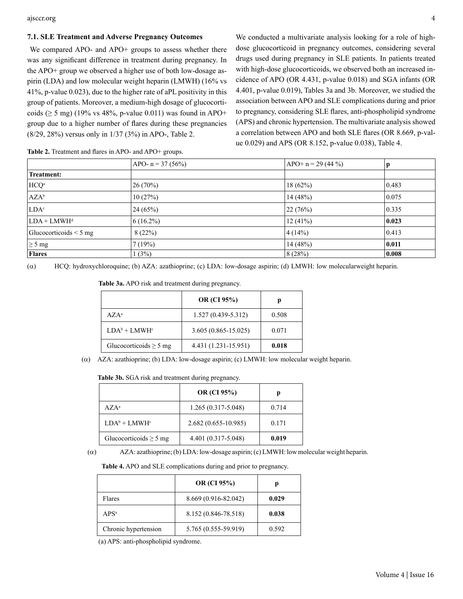#### **7.1. SLE Treatment and Adverse Pregnancy Outcomes**

We compared APO- and APO+ groups to assess whether there was any significant difference in treatment during pregnancy. In the APO+ group we observed a higher use of both low-dosage aspirin (LDA) and low molecular weight heparin (LMWH) (16% vs 41%, p-value 0.023), due to the higher rate of aPL positivity in this group of patients. Moreover, a medium-high dosage of glucocorticoids ( $\geq$  5 mg) (19% vs 48%, p-value 0.011) was found in APO+ group due to a higher number of flares during these pregnancies (8/29, 28%) versus only in 1/37 (3%) in APO-, Table 2.

We conducted a multivariate analysis looking for a role of highdose glucocorticoid in pregnancy outcomes, considering several drugs used during pregnancy in SLE patients. In patients treated with high-dose glucocorticoids, we observed both an increased incidence of APO (OR 4.431, p-value 0.018) and SGA infants (OR 4.401, p-value 0.019), Tables 3a and 3b. Moreover, we studied the association between APO and SLE complications during and prior to pregnancy, considering SLE flares, anti-phospholipid syndrome (APS) and chronic hypertension. The multivariate analysis showed a correlation between APO and both SLE flares (OR 8.669, p-value 0.029) and APS (OR 8.152, p-value 0.038), Table 4.

|                             | $APO - n = 37 (56%)$ | APO+ $n = 29$ (44 %) | р               |
|-----------------------------|----------------------|----------------------|-----------------|
| <b>Treatment:</b>           |                      |                      |                 |
| HCQ <sup>a</sup>            | $ 26(70\%)$          | 18(62%)              | 0.483           |
| $AZA^b$                     | 10(27%)              | 14 (48%)             | 0.075           |
| LDA <sup>c</sup>            | 24(65%)              | 22(76%)              | 0.335           |
| $LDA + LMWH$ <sup>d</sup>   | $6(16.2\%)$          | 12(41%)              | 0.023           |
| Glucocorticoids $\leq$ 5 mg | 8(22%)               | 4(14%)               | 0.413           |
| $\geq 5$ mg                 | 7(19%)               | 14 (48%)             | 0.011           |
| <b>Flares</b>               | 1(3%)                | 8(28%)               | $ 0.008\rangle$ |

**Table 2.** Treatment and flares in APO- and APO+ groups.

( $\alpha$ ) HCQ: hydroxychloroquine; (b) AZA: azathioprine; (c) LDA: low-dosage aspirin; (d) LMWH: low molecular weight heparin.

|                             | <b>OR</b> (CI 95%)      | р     |
|-----------------------------|-------------------------|-------|
| $A Z A^a$                   | $1.527(0.439 - 5.312)$  | 0.508 |
| $LDA^b + LMWH^c$            | $3.605(0.865 - 15.025)$ | 0.071 |
| Glucocorticoids $\geq$ 5 mg | 4.431 (1.231-15.951)    | 0.018 |
|                             |                         |       |

**Table 3a.** APO risk and treatment during pregnancy.

 $\alpha$ ) AZA: azathioprine; (b) LDA: low-dosage aspirin; (c) LMWH: low molecular weight heparin.

|                             | <b>OR</b> (CI 95%)     | р     |
|-----------------------------|------------------------|-------|
| $A Z A^a$                   | $1.265(0.317 - 5.048)$ | 0.714 |
| $LDA^b + LMWH^c$            | 2.682 (0.655-10.985)   | 0.171 |
| Glucocorticoids $\geq$ 5 mg | 4.401 (0.317-5.048)    | 0.019 |

( $\alpha$ ) AZA: azathioprine; (b) LDA: low-dosage aspirin; (c) LMWH: low molecular weight heparin.

**Table 4.** APO and SLE complications during and prior to pregnancy.

|                      | <b>OR</b> (CI 95%)   | р     |
|----------------------|----------------------|-------|
| Flares               | 8.669 (0.916-82.042) | 0.029 |
| APS <sup>a</sup>     | 8.152 (0.846-78.518) | 0.038 |
| Chronic hypertension | 5.765 (0.555-59.919) | 0.592 |

(a) APS: anti-phospholipid syndrome.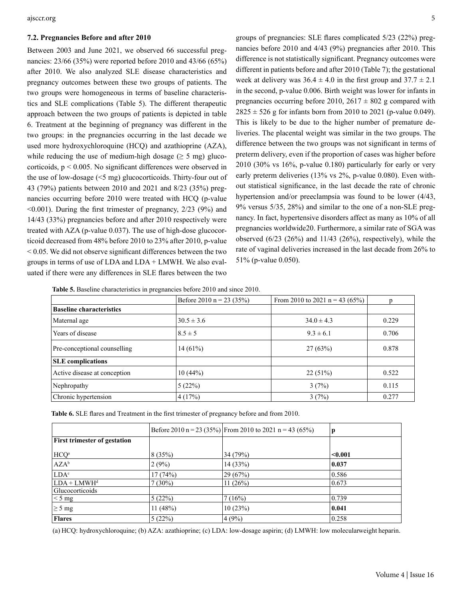#### **7.2. Pregnancies Before and after 2010**

Between 2003 and June 2021, we observed 66 successful pregnancies: 23/66 (35%) were reported before 2010 and 43/66 (65%) after 2010. We also analyzed SLE disease characteristics and pregnancy outcomes between these two groups of patients. The two groups were homogeneous in terms of baseline characteristics and SLE complications (Table 5). The different therapeutic approach between the two groups of patients is depicted in table 6. Treatment at the beginning of pregnancy was different in the two groups: in the pregnancies occurring in the last decade we used more hydroxychloroquine (HCQ) and azathioprine (AZA), while reducing the use of medium-high dosage ( $\geq$  5 mg) glucocorticoids, p < 0.005. No significant differences were observed in the use of low-dosage (<5 mg) glucocorticoids. Thirty-four out of 43 (79%) patients between 2010 and 2021 and 8/23 (35%) pregnancies occurring before 2010 were treated with HCQ (p-value  $\leq 0.001$ ). During the first trimester of pregnancy, 2/23 (9%) and 14/43 (33%) pregnancies before and after 2010 respectively were treated with AZA (p-value 0.037). The use of high-dose glucocorticoid decreased from 48% before 2010 to 23% after 2010, p-value  $\leq$  0.05. We did not observe significant differences between the two groups in terms of use of LDA and LDA + LMWH. We also evaluated if there were any differences in SLE flares between the two

groups of pregnancies: SLE flares complicated 5/23 (22%) pregnancies before 2010 and 4/43 (9%) pregnancies after 2010. This difference is not statistically significant. Pregnancy outcomes were different in patients before and after 2010 (Table 7); the gestational week at delivery was  $36.4 \pm 4.0$  in the first group and  $37.7 \pm 2.1$ in the second, p-value 0.006. Birth weight was lower for infants in pregnancies occurring before 2010,  $2617 \pm 802$  g compared with  $2825 \pm 526$  g for infants born from 2010 to 2021 (p-value 0.049). This is likely to be due to the higher number of premature deliveries. The placental weight was similar in the two groups. The difference between the two groups was not significant in terms of preterm delivery, even if the proportion of cases was higher before 2010 (30% vs 16%, p-value 0.180) particularly for early or very early preterm deliveries (13% vs 2%, p-value 0.080). Even without statistical significance, in the last decade the rate of chronic hypertension and/or preeclampsia was found to be lower  $(4/43, 4/43)$ 9% versus 5/35, 28%) and similar to the one of a non-SLE pregnancy. In fact, hypertensive disorders affect as many as 10% of all pregnancies worldwide20. Furthermore, a similar rate of SGA was observed  $(6/23 \ (26\%)$  and  $11/43 \ (26\%)$ , respectively), while the rate of vaginal deliveries increased in the last decade from 26% to 51% (p-value 0.050).

|                                 | Before 2010 n = 23 (35%) | From 2010 to 2021 n = 43 (65%) | p     |
|---------------------------------|--------------------------|--------------------------------|-------|
| <b>Baseline characteristics</b> |                          |                                |       |
| Maternal age                    | $30.5 \pm 3.6$           | $34.0 \pm 4.3$                 | 0.229 |
| Years of disease                | $8.5 \pm 5$              | $9.3 \pm 6.1$                  | 0.706 |
| Pre-conceptional counselling    | $14(61\%)$               | 27(63%)                        | 0.878 |
| <b>SLE</b> complications        |                          |                                |       |
| Active disease at conception    | 10(44%)                  | 22(51%)                        | 0.522 |
| Nephropathy                     | 5(22%)                   | 3(7%)                          | 0.115 |
| Chronic hypertension            | 4(17%)                   | 3(7%)                          | 0.277 |

| Table 6. SLE flares and Treatment in the first trimester of pregnancy before and from 2010. |  |  |  |  |
|---------------------------------------------------------------------------------------------|--|--|--|--|
|---------------------------------------------------------------------------------------------|--|--|--|--|

|                                     |            | Before 2010 n = 23 (35%) From 2010 to 2021 n = 43 (65%) | p       |
|-------------------------------------|------------|---------------------------------------------------------|---------|
| <b>First trimester of gestation</b> |            |                                                         |         |
| HCQ <sup>a</sup>                    | 8(35%)     | 34 (79%)                                                | < 0.001 |
| $AZA^b$                             | 2(9%)      | 14 (33%)                                                | 0.037   |
| LDA <sup>c</sup>                    | 17(74%)    | 29(67%)                                                 | 0.586   |
| $LDA + LMWH$ <sup>d</sup>           | $7(30\%)$  | 11 $(26%)$                                              | 0.673   |
| Glucocorticoids                     |            |                                                         |         |
| $\leq 5$ mg                         | 5(22%)     | 7(16%)                                                  | 0.739   |
| $\geq 5$ mg                         | 11 $(48%)$ | 10(23%)                                                 | 0.041   |
| <b>Flares</b>                       | 5(22%)     | 4(9%)                                                   | 0.258   |

(a) HCQ: hydroxychloroquine; (b) AZA: azathioprine; (c) LDA: low-dosage aspirin; (d) LMWH: low molecular weight heparin.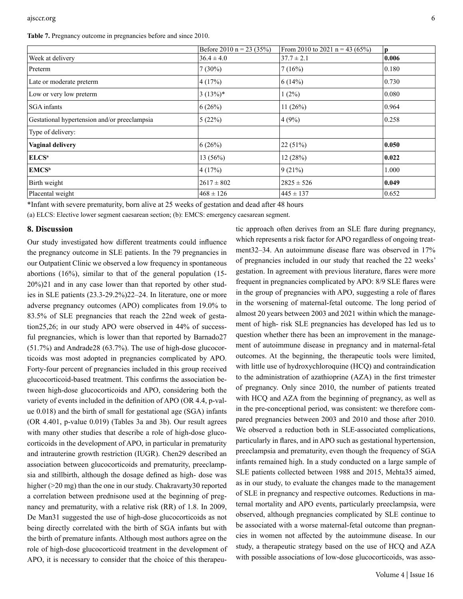**Table 7.** Pregnancy outcome in pregnancies before and since 2010.

|                                              | Before 2010 n = 23 (35%) | From 2010 to 2021 n = 43 (65%) | <sub>p</sub> |
|----------------------------------------------|--------------------------|--------------------------------|--------------|
| Week at delivery                             | $36.4 \pm 4.0$           | $37.7 \pm 2.1$                 | 0.006        |
| Preterm                                      | $7(30\%)$                | 7(16%)                         | 0.180        |
| Late or moderate preterm                     | 4(17%)                   | 6(14%)                         | 0.730        |
| Low or very low preterm                      | 3(13%)                   | $1(2\%)$                       | 0.080        |
| <b>SGA</b> infants                           | 6(26%)                   | 11(26%)                        | 0.964        |
| Gestational hypertension and/or preeclampsia | 5(22%)                   | 4(9%)                          | 0.258        |
| Type of delivery:                            |                          |                                |              |
| <b>Vaginal delivery</b>                      | 6(26%)                   | 22(51%)                        | 0.050        |
| ELCS <sup>a</sup>                            | 13 (56%)                 | 12(28%)                        | 0.022        |
| <b>EMCS</b> <sup>b</sup>                     | 4(17%)                   | 9(21%)                         | 1.000        |
| Birth weight                                 | $2617 \pm 802$           | $2825 \pm 526$                 | 0.049        |
| Placental weight                             | $468 \pm 126$            | $445 \pm 137$                  | 0.652        |

\*Infant with severe prematurity, born alive at 25 weeks of gestation and dead after 48 hours

(a) ELCS: Elective lower segment caesarean section; (b): EMCS: emergency caesarean segment.

#### **8. Discussion**

Our study investigated how different treatments could influence the pregnancy outcome in SLE patients. In the 79 pregnancies in our Outpatient Clinic we observed a low frequency in spontaneous abortions (16%), similar to that of the general population (15- 20%)21 and in any case lower than that reported by other studies in SLE patients (23.3-29.2%)22–24. In literature, one or more adverse pregnancy outcomes (APO) complicates from 19.0% to 83.5% of SLE pregnancies that reach the 22nd week of gestation25,26; in our study APO were observed in 44% of successful pregnancies, which is lower than that reported by Barnado27 (51.7%) and Andrade28 (63.7%). The use of high-dose glucocorticoids was most adopted in pregnancies complicated by APO. Forty-four percent of pregnancies included in this group received glucocorticoid-based treatment. This confirms the association between high-dose glucocorticoids and APO, considering both the variety of events included in the definition of APO (OR 4.4, p-value 0.018) and the birth of small for gestational age (SGA) infants (OR 4.401, p-value 0.019) (Tables 3a and 3b). Our result agrees with many other studies that describe a role of high-dose glucocorticoids in the development of APO, in particular in prematurity and intrauterine growth restriction (IUGR). Chen29 described an association between glucocorticoids and prematurity, preeclampsia and stillbirth, although the dosage defined as high- dose was higher (>20 mg) than the one in our study. Chakravarty30 reported a correlation between prednisone used at the beginning of pregnancy and prematurity, with a relative risk (RR) of 1.8. In 2009, De Man31 suggested the use of high-dose glucocorticoids as not being directly correlated with the birth of SGA infants but with the birth of premature infants. Although most authors agree on the role of high-dose glucocorticoid treatment in the development of APO, it is necessary to consider that the choice of this therapeu-

tic approach often derives from an SLE flare during pregnancy, which represents a risk factor for APO regardless of ongoing treatment32–34. An autoimmune disease flare was observed in 17% of pregnancies included in our study that reached the 22 weeks' gestation. In agreement with previous literature, flares were more frequent in pregnancies complicated by APO: 8/9 SLE flares were in the group of pregnancies with APO, suggesting a role of flares in the worsening of maternal-fetal outcome. The long period of almost 20 years between 2003 and 2021 within which the management of high- risk SLE pregnancies has developed has led us to question whether there has been an improvement in the management of autoimmune disease in pregnancy and in maternal-fetal outcomes. At the beginning, the therapeutic tools were limited, with little use of hydroxychloroquine (HCQ) and contraindication to the administration of azathioprine (AZA) in the first trimester of pregnancy. Only since 2010, the number of patients treated with HCQ and AZA from the beginning of pregnancy, as well as in the pre-conceptional period, was consistent: we therefore compared pregnancies between 2003 and 2010 and those after 2010. We observed a reduction both in SLE-associated complications, particularly in flares, and in APO such as gestational hypertension, preeclampsia and prematurity, even though the frequency of SGA infants remained high. In a study conducted on a large sample of SLE patients collected between 1988 and 2015, Mehta35 aimed, as in our study, to evaluate the changes made to the management of SLE in pregnancy and respective outcomes. Reductions in maternal mortality and APO events, particularly preeclampsia, were observed, although pregnancies complicated by SLE continue to be associated with a worse maternal-fetal outcome than pregnancies in women not affected by the autoimmune disease. In our study, a therapeutic strategy based on the use of HCQ and AZA with possible associations of low-dose glucocorticoids, was asso-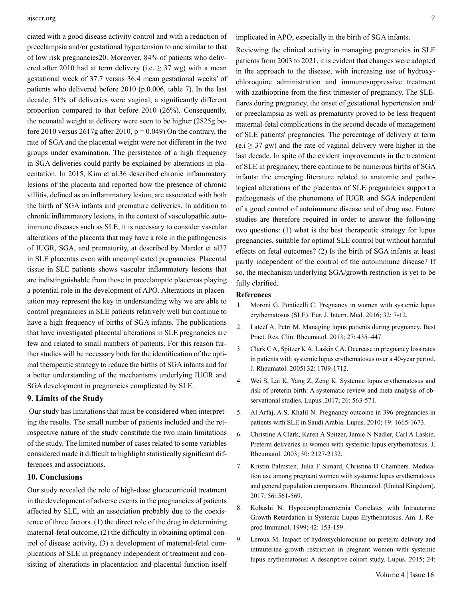ciated with a good disease activity control and with a reduction of preeclampsia and/or gestational hypertension to one similar to that of low risk pregnancies20. Moreover, 84% of patients who delivered after 2010 had at term delivery (i.e.  $\geq$  37 wg) with a mean gestational week of 37.7 versus 36.4 mean gestational weeks' of patients who delivered before 2010 (p.0.006, table 7). In the last decade, 51% of deliveries were vaginal, a significantly different proportion compared to that before 2010 (26%). Consequently, the neonatal weight at delivery were seen to be higher (2825g before 2010 versus 2617g after 2010,  $p = 0.049$ ) On the contrary, the rate of SGA and the placental weight were not different in the two groups under examination. The persistence of a high frequency in SGA deliveries could partly be explained by alterations in placentation. In 2015, Kim et al.36 described chronic inflammatory lesions of the placenta and reported how the presence of chronic villitis, defined as an inflammatory lesion, are associated with both the birth of SGA infants and premature deliveries. In addition to chronic inflammatory lesions, in the context of vasculopathic autoimmune diseases such as SLE, it is necessary to consider vascular alterations of the placenta that may have a role in the pathogenesis of IUGR, SGA, and prematurity, at described by Marder et al37 in SLE placentas even with uncomplicated pregnancies. Placental tissue in SLE patients shows vascular inflammatory lesions that are indistinguishable from those in preeclamptic placentas playing a potential role in the development of APO. Alterations in placentation may represent the key in understanding why we are able to control pregnancies in SLE patients relatively well but continue to have a high frequency of births of SGA infants. The publications that have investigated placental alterations in SLE pregnancies are few and related to small numbers of patients. For this reason further studies will be necessary both for the identification of the optimal therapeutic strategy to reduce the births of SGA infants and for a better understanding of the mechanisms underlying IUGR and SGA development in pregnancies complicated by SLE.

## **9. Limits of the Study**

 Our study has limitations that must be considered when interpreting the results. The small number of patients included and the retrospective nature of the study constitute the two main limitations of the study. The limited number of cases related to some variables considered made it difficult to highlight statistically significant differences and associations.

#### **10. Conclusions**

Our study revealed the role of high-dose glucocorticoid treatment in the development of adverse events in the pregnancies of patients affected by SLE, with an association probably due to the coexistence of three factors. (1) the direct role of the drug in determining maternal-fetal outcome, (2) the difficulty in obtaining optimal control of disease activity, (3) a development of maternal-fetal complications of SLE in pregnancy independent of treatment and consisting of alterations in placentation and placental function itself implicated in APO, especially in the birth of SGA infants.

Reviewing the clinical activity in managing pregnancies in SLE patients from 2003 to 2021, it is evident that changes were adopted in the approach to the disease, with increasing use of hydroxychloroquine administration and immunosuppressive treatment with azathioprine from the first trimester of pregnancy. The SLEflares during pregnancy, the onset of gestational hypertension and/ or preeclampsia as well as prematurity proved to be less frequent maternal-fetal complications in the second decade of management of SLE patients' pregnancies. The percentage of delivery at term  $(e.i \geq 37 \text{ gW})$  and the rate of vaginal delivery were higher in the last decade. In spite of the evident improvements in the treatment of SLE in pregnancy, there continue to be numerous births of SGA infants: the emerging literature related to anatomic and pathological alterations of the placentas of SLE pregnancies support a pathogenesis of the phenomena of IUGR and SGA independent of a good control of autoimmune disease and of drug use. Future studies are therefore required in order to answer the following two questions: (1) what is the best therapeutic strategy for lupus pregnancies, suitable for optimal SLE control but without harmful effects on fetal outcomes? (2) Is the birth of SGA infants at least partly independent of the control of the autoimmune disease? If so, the mechanism underlying SGA/growth restriction is yet to be fully clarified.

#### **References**

- 1. [Moroni G, Ponticelli C. Pregnancy in women with systemic lupus](https://pubmed.ncbi.nlm.nih.gov/27142327/) [erythematosus \(SLE\). Eur. J. Intern. Med. 2016; 32: 7-12.](https://pubmed.ncbi.nlm.nih.gov/27142327/)
- 2. [Lateef A, Petri M. Managing lupus patients during pregnancy. Best](https://pubmed.ncbi.nlm.nih.gov/24238698/3.)  [Pract. Res. Clin. Rheumatol. 2013; 27: 435–447.](https://pubmed.ncbi.nlm.nih.gov/24238698/3.)
- 3. [Clark C A, Spitzer K A, Laskin CA. Decrease in pregnancy loss rates](https://pubmed.ncbi.nlm.nih.gov/16142865/)  [in patients with systemic lupus erythematosus over a 40-year period.](https://pubmed.ncbi.nlm.nih.gov/16142865/) [J. Rheumatol. 2005l 32: 1709-1712.](https://pubmed.ncbi.nlm.nih.gov/16142865/)
- 4. [Wei S, Lai K, Yang Z, Zeng K. Systemic lupus erythematosus and](https://pubmed.ncbi.nlm.nih.gov/28121241/) [risk of preterm birth: A systematic review and meta-analysis of ob](https://pubmed.ncbi.nlm.nih.gov/28121241/)[servational studies. Lupus .2017; 26: 563-571.](https://pubmed.ncbi.nlm.nih.gov/28121241/)
- 5. [Al Arfaj, A S, Khalil N. Pregnancy outcome in 396 pregnancies in](https://pubmed.ncbi.nlm.nih.gov/20947541/)  [patients with SLE in Saudi Arabia. Lupus. 2010; 19: 1665-1673.](https://pubmed.ncbi.nlm.nih.gov/20947541/)
- 6. [Christine A Clark, Karen A Spitzer, Jamie N Nadler, Carl A Laskin.](https://pubmed.ncbi.nlm.nih.gov/14528505/)  [Preterm deliveries in women with systemic lupus erythematosus. J.](https://pubmed.ncbi.nlm.nih.gov/14528505/)  [Rheumatol. 2003; 30: 2127-2132.](https://pubmed.ncbi.nlm.nih.gov/14528505/)
- 7. [Kristin Palmsten, Julia F Simard, Christina D Chambers. Medica](https://www.ncbi.nlm.nih.gov/pmc/articles/PMC5850850/)[tion use among pregnant women with systemic lupus erythematosus](https://www.ncbi.nlm.nih.gov/pmc/articles/PMC5850850/) [and general population comparators. Rheumatol. \(United Kingdom\).](https://www.ncbi.nlm.nih.gov/pmc/articles/PMC5850850/) [2017; 56: 561-569.](https://www.ncbi.nlm.nih.gov/pmc/articles/PMC5850850/)
- 8. [Kobashi N. Hypocomplementemia Correlates with Intrauterine](https://pubmed.ncbi.nlm.nih.gov/10517175/) [Growth Retardation in Systemic Lupus Erythematosus. Am. J. Re](https://pubmed.ncbi.nlm.nih.gov/10517175/)[prod Immunol. 1999; 42: 153-159.](https://pubmed.ncbi.nlm.nih.gov/10517175/)
- 9. [Leroux M. Impact of hydroxychloroquine on preterm delivery and](https://pubmed.ncbi.nlm.nih.gov/26082465/) [intrauterine growth restriction in pregnant women with systemic](https://pubmed.ncbi.nlm.nih.gov/26082465/) [lupus erythematosus: A descriptive cohort study. Lupus. 2015; 24:](https://pubmed.ncbi.nlm.nih.gov/26082465/)